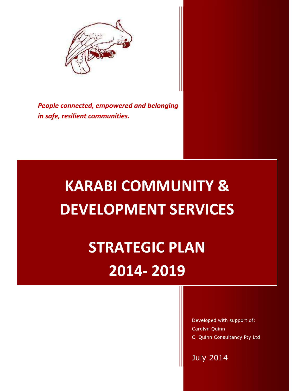

People connected, empowered and belonging in safe, resilient communities.

# **KARABI COMMUNITY & DEVELOPMENT SERVICES**

**STRATEGIC PLAN** 2014-2019

> Developed with support of: Carolyn Quinn C. Quinn Consultancy Pty Ltd

**July 2014**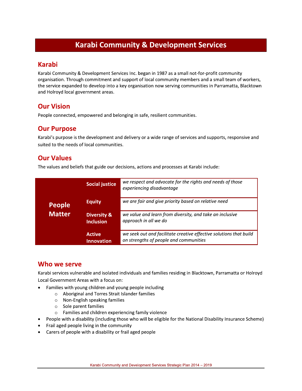# **Karabi Community & Development Services**

### **Karabi**

Karabi Community & Development Services Inc. began in 1987 as a small not-for-profit community organisation. Through commitment and support of local community members and a small team of workers, the service expanded to develop into a key organisation now serving communities in Parramatta, Blacktown and Holroyd local government areas.

# **Our Vision**

People connected, empowered and belonging in safe, resilient communities.

## **Our Purpose**

Karabi's purpose is the development and delivery or a wide range of services and supports, responsive and suited to the needs of local communities.

### **Our Values**

The values and beliefs that guide our decisions, actions and processes at Karabi include:

| <b>People</b><br><b>Matter</b> | <b>Social justice</b>                      | we respect and advocate for the rights and needs of those<br>experiencing disadvantage                       |
|--------------------------------|--------------------------------------------|--------------------------------------------------------------------------------------------------------------|
|                                | <b>Equity</b>                              | we are fair and give priority based on relative need                                                         |
|                                | <b>Diversity &amp;</b><br><b>Inclusion</b> | we value and learn from diversity, and take an inclusive<br>approach in all we do                            |
|                                | <b>Active</b><br><b>Innovation</b>         | we seek out and facilitate creative effective solutions that build<br>on strengths of people and communities |

### Who we serve

Karabi services vulnerable and isolated individuals and families residing in Blacktown, Parramatta or Holroyd Local Government Areas with a focus on:

- Families with young children and young people including
	- Aboriginal and Torres Strait Islander families  $\circ$
	- $\circ$  Non-English speaking families
	- $\circ$  Sole parent families
	- o Families and children experiencing family violence
- People with a disability (including those who will be eligible for the National Disability Insurance Scheme)
- Frail aged people living in the community
- Carers of people with a disability or frail aged people  $\bullet$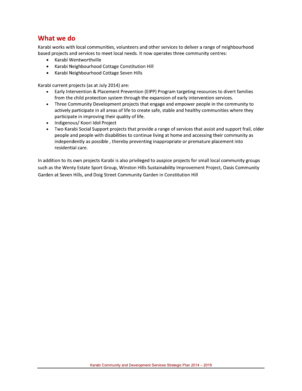### What we do

Karabi works with local communities, volunteers and other services to deliver a range of neighbourhood based projects and services to meet local needs. It now operates three community centres:

- Karabi Wentworthville  $\bullet$
- $\bullet$ Karabi Neighbourhood Cottage Constitution Hill
- $\bullet$ Karabi Neighbourhood Cottage Seven Hills

Karabi current projects (as at July 2014) are:

- Early Intervention & Placement Prevention (EIPP) Program targeting resources to divert families  $\bullet$ from the child protection system through the expansion of early intervention services.
- Three Community Development projects that engage and empower people in the community to  $\bullet$ actively participate in all areas of life to create safe, stable and healthy communities where they participate in improving their quality of life.
- Indigenous/ Koori Idol Project  $\bullet$
- Two Karabi Social Support projects that provide a range of services that assist and support frail, older people and people with disabilities to continue living at home and accessing their community as independently as possible, thereby preventing inappropriate or premature placement into residential care.

In addition to its own projects Karabi is also privileged to auspice projects for small local community groups such as the Wenty Estate Sport Group, Winston Hills Sustainability Improvement Project, Oasis Community Garden at Seven Hills, and Doig Street Community Garden in Constitution Hill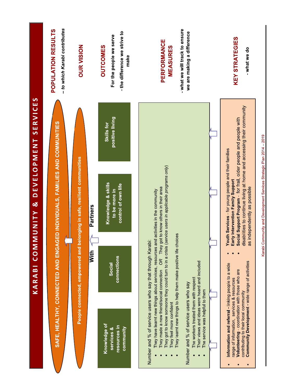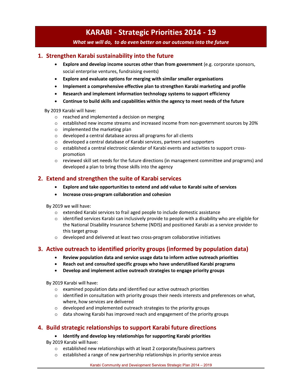- **Example 15 Accord Wind We would do to do even better on our outcomes into the future<br>
1. Strengthen Karabi sustainability into the future<br>
 Explore and develop income sources other than from government (e.g. corporate<br>** 4. Strengthen Karabi sustainability into the future<br>
4. Strengthen Karabi sustainability into the future<br>
4. Strengthen Karabi sustainability into the future<br>
4. Explore and develop income sources other than from go<br>
5. St **•** Explore and develop income sources other than from government (e.g. corporate sponsors, social enterprise ventures, fundraising events)
	- Explore and evaluate options for merging with similar smaller organisations
	- Implement a comprehensive effective plan to strengthen Karabi marketing and profile
	- Research and implement information technology systems to support efficiency
	- Continue to build skills and capabilities within the agency to meet needs of the future

By 2019 Karabi will have:

- $\circ$  reached and implemented a decision on merging
- $\circ$  established new income streams and increased income from non-government sources by 20%
- $\circ$  implemented the marketing plan
- $\circ$  developed a central database across all programs for all clients
- $\circ\quad$  developed a central database of Karabi services, partners and supporters
- $\circ$  established a central electronic calendar of Karabi events and activities to support crosspromotion
- $\circ$  reviewed skill set needs for the future directions (in management committee and programs) and developed a plan to bring those skills into the agency

### 2. Extend and strengthen the suite of Karabi services

- Explore and take opportunities to extend and add value to Karabi suite of services
- Increase cross-program collaboration and cohesion

By 2019 we will have:

- $\circ$  extended Karabi services to frail aged people to include domestic assistance
- $\circ$  identified services Karabi can inclusively provide to people with a disability who are eligible for the National Disability Insurance Scheme (NDIS) and positioned Karabi as a service provider to this target group
- $\circ$  developed and delivered at least two cross-program collaborative initiatives

### 3. Active outreach to identified priority groups (informed by population data)

- Review population data and service usage data to inform active outreach priorities
- Reach out and consulted specific groups who have underutilised Karabi programs
- Develop and implement active outreach strategies to engage priority groups

By 2019 Karabi will have:

- $\circ$  examined population data and identified our active outreach priorities
- $\circ$  identified in consultation with priority groups their needs interests and preferences on what, where, how services are delivered
- $\circ$  developed and implemented outreach strategies to the priority groups
- $\circ$  data showing Karabi has improved reach and engagement of the priority groups

### 4. Build strategic relationships to support Karabi future directions

### Identify and develop key relationships for supporting Karabi priorities

By 2019 Karabi will have:

- $\circ$  established new relationships with at least 2 corporate/business partners
- established a range of new partnership relationships in priority service areas